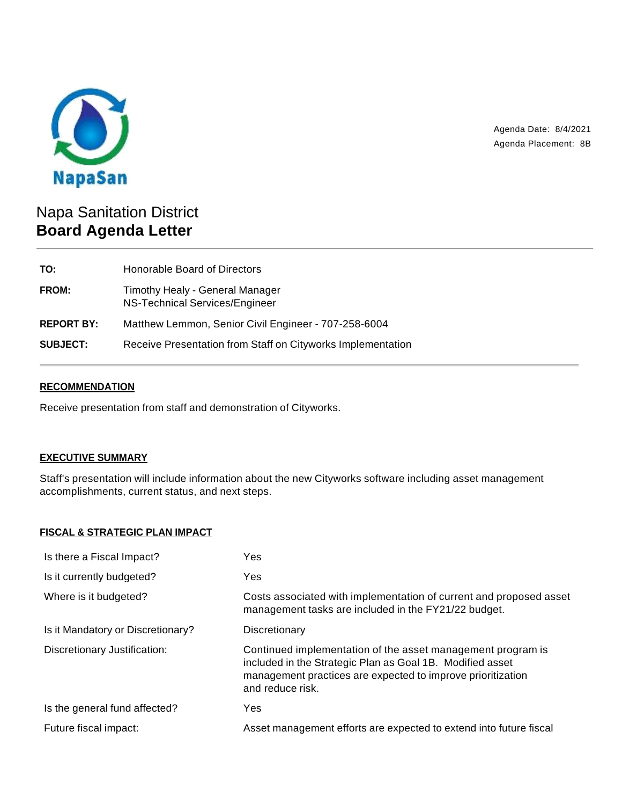

Agenda Date: 8/4/2021 Agenda Placement: 8B

# Napa Sanitation District **Board Agenda Letter**

| TO:               | Honorable Board of Directors                                      |
|-------------------|-------------------------------------------------------------------|
| FROM:             | Timothy Healy - General Manager<br>NS-Technical Services/Engineer |
| <b>REPORT BY:</b> | Matthew Lemmon, Senior Civil Engineer - 707-258-6004              |
| <b>SUBJECT:</b>   | Receive Presentation from Staff on Cityworks Implementation       |

# **RECOMMENDATION**

Receive presentation from staff and demonstration of Cityworks.

# **EXECUTIVE SUMMARY**

Staff's presentation will include information about the new Cityworks software including asset management accomplishments, current status, and next steps.

## **FISCAL & STRATEGIC PLAN IMPACT**

| Is there a Fiscal Impact?         | Yes                                                                                                                                                                                                         |
|-----------------------------------|-------------------------------------------------------------------------------------------------------------------------------------------------------------------------------------------------------------|
| Is it currently budgeted?         | Yes                                                                                                                                                                                                         |
| Where is it budgeted?             | Costs associated with implementation of current and proposed asset<br>management tasks are included in the FY21/22 budget.                                                                                  |
| Is it Mandatory or Discretionary? | Discretionary                                                                                                                                                                                               |
| Discretionary Justification:      | Continued implementation of the asset management program is<br>included in the Strategic Plan as Goal 1B. Modified asset<br>management practices are expected to improve prioritization<br>and reduce risk. |
| Is the general fund affected?     | Yes                                                                                                                                                                                                         |
| Future fiscal impact:             | Asset management efforts are expected to extend into future fiscal                                                                                                                                          |